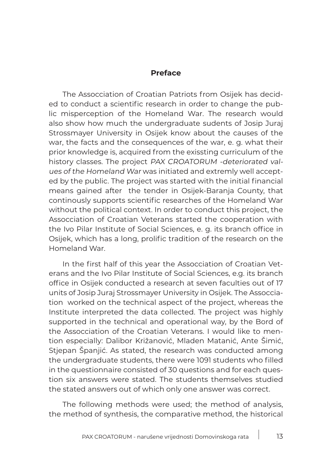## **Preface**

The Assocciation of Croatian Patriots from Osijek has decided to conduct a scientific research in order to change the public misperception of the Homeland War. The research would also show how much the undergraduate sudents of Josip Juraj Strossmayer University in Osijek know about the causes of the war, the facts and the consequences of the war, e. g. what their prior knowledge is, acquired from the exissting curriculum of the history classes. The project PAX CROATORUM -deteriorated values of the Homeland War was initiated and extremly well accepted by the public. The project was started with the initial financial means gained after the tender in Osijek-Baranja County, that continously supports scientific researches of the Homeland War without the political context. In order to conduct this project, the Assocciation of Croatian Veterans started the cooperation with the Ivo Pilar Institute of Social Sciences, e. g. its branch office in Osijek, which has a long, prolific tradition of the research on the Homeland War.

In the first half of this year the Assocciation of Croatian Veterans and the Ivo Pilar Institute of Social Sciences, e.g. its branch office in Osijek conducted a research at seven faculties out of 17 units of Josip Juraj Strossmayer University in Osijek. The Assocciation worked on the technical aspect of the project, whereas the Institute interpreted the data collected. The project was highly supported in the technical and operational way, by the Bord of the Assocciation of the Croatian Veterans. I would like to mention especially: Dalibor Križanović, Mladen Matanić, Ante Šimić, Stjepan Španjić. As stated, the research was conducted among the undergraduate students, there were 1091 students who filled in the questionnaire consisted of 30 questions and for each question six answers were stated. The students themselves studied the stated answers out of which only one answer was correct.

The following methods were used; the method of analysis, the method of synthesis, the comparative method, the historical